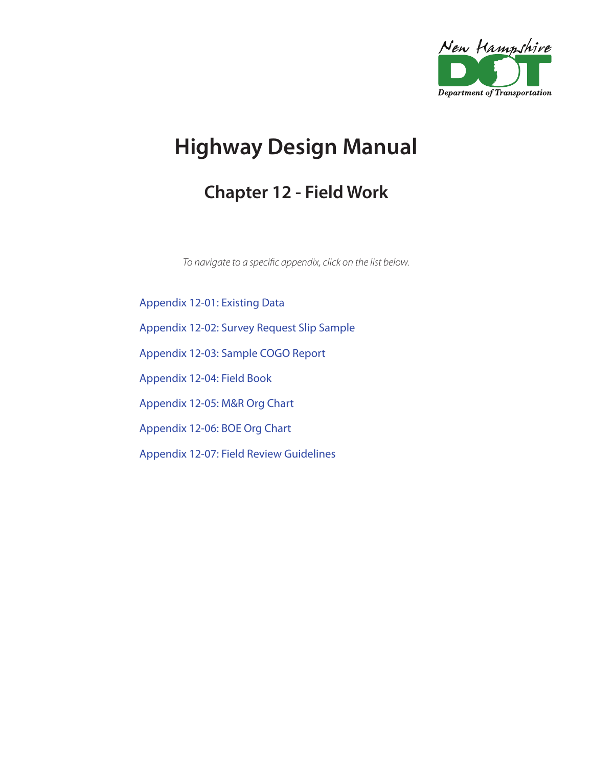

## **Highway Design Manual**

## **Chapter 12 - Field Work**

*To navigate to a specific appendix, click on the list below.*

[Appendix 12-01: Existing Data](#page-1-0) [Appendix 12-02: Survey Request Slip Sample](#page-2-0) [Appendix 12-03: Sample COGO Report](#page-4-0) [Appendix 12-04: Field Book](#page-5-0) [Appendix 12-05: M&R Org Chart](#page-6-0) [Appendix 12-06: BOE Org Chart](#page-8-0) [Appendix 12-07: Field Review Guidelines](#page-10-0)